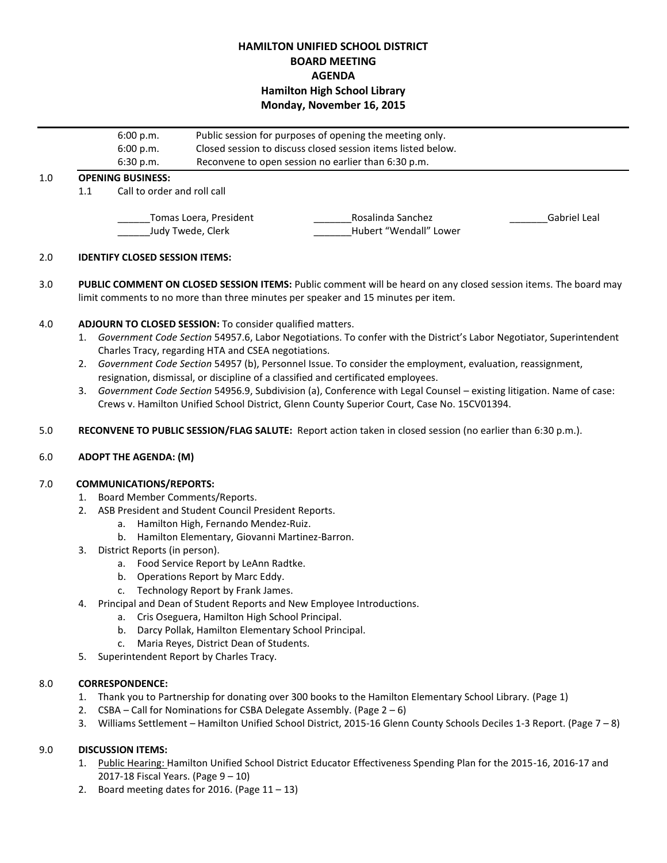# **HAMILTON UNIFIED SCHOOL DISTRICT BOARD MEETING AGENDA Hamilton High School Library Monday, November 16, 2015**

|     | 6:00 p.m.<br>6:00 p.m.                      |                                                                                              | Public session for purposes of opening the meeting only.<br>Closed session to discuss closed session items listed below. |                                             |              |  |
|-----|---------------------------------------------|----------------------------------------------------------------------------------------------|--------------------------------------------------------------------------------------------------------------------------|---------------------------------------------|--------------|--|
| 1.0 |                                             | Reconvene to open session no earlier than 6:30 p.m.<br>6:30 p.m.<br><b>OPENING BUSINESS:</b> |                                                                                                                          |                                             |              |  |
|     | 1.1                                         |                                                                                              | Call to order and roll call                                                                                              |                                             |              |  |
|     | Tomas Loera, President<br>Judy Twede, Clerk |                                                                                              |                                                                                                                          | Rosalinda Sanchez<br>Hubert "Wendall" Lower | Gabriel Leal |  |

### 2.0 **IDENTIFY CLOSED SESSION ITEMS:**

3.0 **PUBLIC COMMENT ON CLOSED SESSION ITEMS:** Public comment will be heard on any closed session items. The board may limit comments to no more than three minutes per speaker and 15 minutes per item.

## 4.0 **ADJOURN TO CLOSED SESSION:** To consider qualified matters.

- 1. *Government Code Section* 54957.6, Labor Negotiations. To confer with the District's Labor Negotiator, Superintendent Charles Tracy, regarding HTA and CSEA negotiations.
- 2. *Government Code Section* 54957 (b), Personnel Issue. To consider the employment, evaluation, reassignment, resignation, dismissal, or discipline of a classified and certificated employees.
- 3. *Government Code Section* 54956.9, Subdivision (a), Conference with Legal Counsel existing litigation. Name of case: Crews v. Hamilton Unified School District, Glenn County Superior Court, Case No. 15CV01394.
- 5.0 **RECONVENE TO PUBLIC SESSION/FLAG SALUTE:** Report action taken in closed session (no earlier than 6:30 p.m.).

## 6.0 **ADOPT THE AGENDA: (M)**

#### 7.0 **COMMUNICATIONS/REPORTS:**

- 1. Board Member Comments/Reports.
- 2. ASB President and Student Council President Reports.
	- a. Hamilton High, Fernando Mendez-Ruiz.
	- b. Hamilton Elementary, Giovanni Martinez-Barron.
- 3. District Reports (in person).
	- a. Food Service Report by LeAnn Radtke.
	- b. Operations Report by Marc Eddy.
	- c. Technology Report by Frank James.
- 4. Principal and Dean of Student Reports and New Employee Introductions.
	- a. Cris Oseguera, Hamilton High School Principal.
	- b. Darcy Pollak, Hamilton Elementary School Principal.
	- c. Maria Reyes, District Dean of Students.
- 5. Superintendent Report by Charles Tracy.

#### 8.0 **CORRESPONDENCE:**

- 1. Thank you to Partnership for donating over 300 books to the Hamilton Elementary School Library. (Page 1)
- 2.  $CSBA Call for Nominations for CSBA Delegate Assembly. (Page  $2 6$ )$
- 3. Williams Settlement Hamilton Unified School District, 2015-16 Glenn County Schools Deciles 1-3 Report. (Page 7 8)

## 9.0 **DISCUSSION ITEMS:**

- 1. Public Hearing: Hamilton Unified School District Educator Effectiveness Spending Plan for the 2015-16, 2016-17 and 2017-18 Fiscal Years. (Page 9 – 10)
- 2. Board meeting dates for 2016. (Page  $11 13$ )